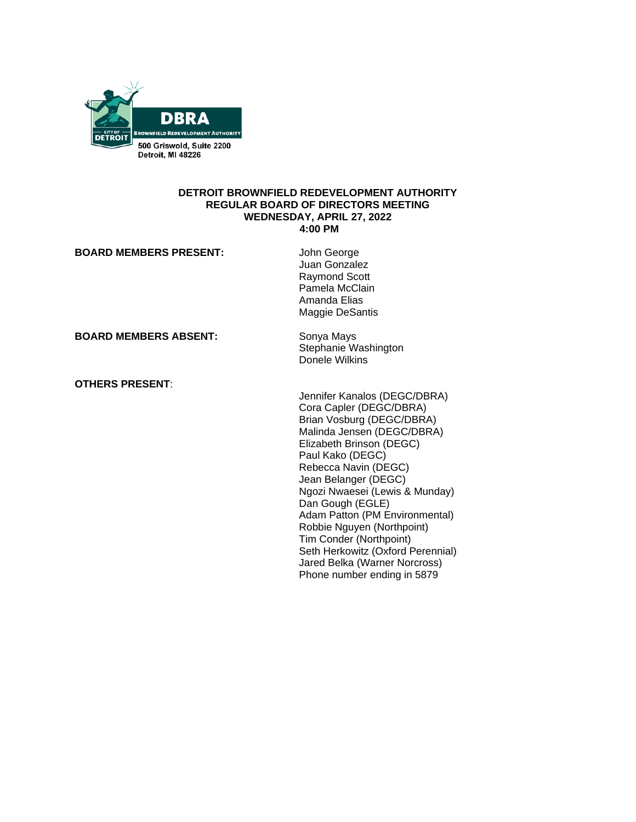

### **DETROIT BROWNFIELD REDEVELOPMENT AUTHORITY REGULAR BOARD OF DIRECTORS MEETING WEDNESDAY, APRIL 27, 2022 4:00 PM**

| <b>BOARD MEMBERS PRESENT:</b> | John George<br>Juan Gonzalez<br><b>Raymond Scott</b><br>Pamela McClain<br>Amanda Elias<br>Maggie DeSantis                                                                                                                                                                                                                                                                                                                                                                |
|-------------------------------|--------------------------------------------------------------------------------------------------------------------------------------------------------------------------------------------------------------------------------------------------------------------------------------------------------------------------------------------------------------------------------------------------------------------------------------------------------------------------|
| <b>BOARD MEMBERS ABSENT:</b>  | Sonya Mays<br>Stephanie Washington<br>Donele Wilkins                                                                                                                                                                                                                                                                                                                                                                                                                     |
| <b>OTHERS PRESENT:</b>        | Jennifer Kanalos (DEGC/DBRA)<br>Cora Capler (DEGC/DBRA)<br>Brian Vosburg (DEGC/DBRA)<br>Malinda Jensen (DEGC/DBRA)<br>Elizabeth Brinson (DEGC)<br>Paul Kako (DEGC)<br>Rebecca Navin (DEGC)<br>Jean Belanger (DEGC)<br>Ngozi Nwaesei (Lewis & Munday)<br>Dan Gough (EGLE)<br>Adam Patton (PM Environmental)<br>Robbie Nguyen (Northpoint)<br>Tim Conder (Northpoint)<br>Seth Herkowitz (Oxford Perennial)<br>Jared Belka (Warner Norcross)<br>Phone number ending in 5879 |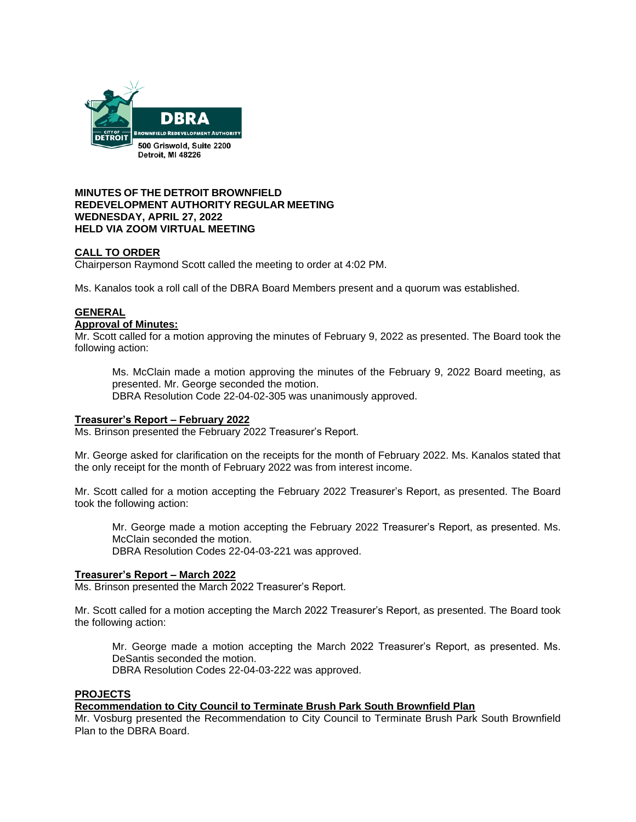

# **MINUTES OF THE DETROIT BROWNFIELD REDEVELOPMENT AUTHORITY REGULAR MEETING WEDNESDAY, APRIL 27, 2022 HELD VIA ZOOM VIRTUAL MEETING**

# **CALL TO ORDER**

Chairperson Raymond Scott called the meeting to order at 4:02 PM.

Ms. Kanalos took a roll call of the DBRA Board Members present and a quorum was established.

# **GENERAL**

### **Approval of Minutes:**

Mr. Scott called for a motion approving the minutes of February 9, 2022 as presented. The Board took the following action:

Ms. McClain made a motion approving the minutes of the February 9, 2022 Board meeting, as presented. Mr. George seconded the motion. DBRA Resolution Code 22-04-02-305 was unanimously approved.

# **Treasurer's Report – February 2022**

Ms. Brinson presented the February 2022 Treasurer's Report.

Mr. George asked for clarification on the receipts for the month of February 2022. Ms. Kanalos stated that the only receipt for the month of February 2022 was from interest income.

Mr. Scott called for a motion accepting the February 2022 Treasurer's Report, as presented. The Board took the following action:

Mr. George made a motion accepting the February 2022 Treasurer's Report, as presented. Ms. McClain seconded the motion. DBRA Resolution Codes 22-04-03-221 was approved.

# **Treasurer's Report – March 2022**

Ms. Brinson presented the March 2022 Treasurer's Report.

Mr. Scott called for a motion accepting the March 2022 Treasurer's Report, as presented. The Board took the following action:

Mr. George made a motion accepting the March 2022 Treasurer's Report, as presented. Ms. DeSantis seconded the motion.

DBRA Resolution Codes 22-04-03-222 was approved.

#### **PROJECTS**

**Recommendation to City Council to Terminate Brush Park South Brownfield Plan**

Mr. Vosburg presented the Recommendation to City Council to Terminate Brush Park South Brownfield Plan to the DBRA Board.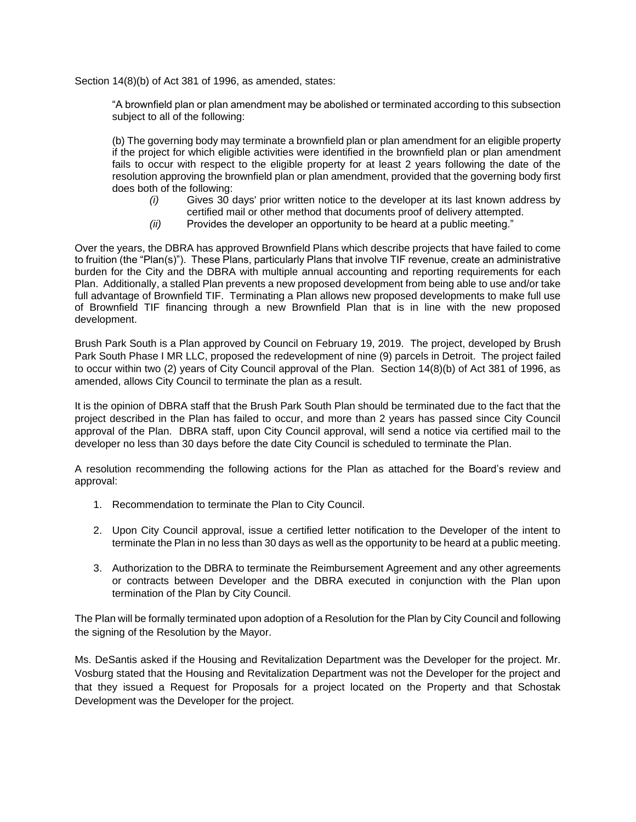Section 14(8)(b) of Act 381 of 1996, as amended, states:

"A brownfield plan or plan amendment may be abolished or terminated according to this subsection subject to all of the following:

(b) The governing body may terminate a brownfield plan or plan amendment for an eligible property if the project for which eligible activities were identified in the brownfield plan or plan amendment fails to occur with respect to the eligible property for at least 2 years following the date of the resolution approving the brownfield plan or plan amendment, provided that the governing body first does both of the following:

- *(i)* Gives 30 days' prior written notice to the developer at its last known address by certified mail or other method that documents proof of delivery attempted.
- *(ii)* Provides the developer an opportunity to be heard at a public meeting."

Over the years, the DBRA has approved Brownfield Plans which describe projects that have failed to come to fruition (the "Plan(s)"). These Plans, particularly Plans that involve TIF revenue, create an administrative burden for the City and the DBRA with multiple annual accounting and reporting requirements for each Plan. Additionally, a stalled Plan prevents a new proposed development from being able to use and/or take full advantage of Brownfield TIF. Terminating a Plan allows new proposed developments to make full use of Brownfield TIF financing through a new Brownfield Plan that is in line with the new proposed development.

Brush Park South is a Plan approved by Council on February 19, 2019. The project, developed by Brush Park South Phase I MR LLC, proposed the redevelopment of nine (9) parcels in Detroit. The project failed to occur within two (2) years of City Council approval of the Plan. Section 14(8)(b) of Act 381 of 1996, as amended, allows City Council to terminate the plan as a result.

It is the opinion of DBRA staff that the Brush Park South Plan should be terminated due to the fact that the project described in the Plan has failed to occur, and more than 2 years has passed since City Council approval of the Plan. DBRA staff, upon City Council approval, will send a notice via certified mail to the developer no less than 30 days before the date City Council is scheduled to terminate the Plan.

A resolution recommending the following actions for the Plan as attached for the Board's review and approval:

- 1. Recommendation to terminate the Plan to City Council.
- 2. Upon City Council approval, issue a certified letter notification to the Developer of the intent to terminate the Plan in no less than 30 days as well as the opportunity to be heard at a public meeting.
- 3. Authorization to the DBRA to terminate the Reimbursement Agreement and any other agreements or contracts between Developer and the DBRA executed in conjunction with the Plan upon termination of the Plan by City Council.

The Plan will be formally terminated upon adoption of a Resolution for the Plan by City Council and following the signing of the Resolution by the Mayor.

Ms. DeSantis asked if the Housing and Revitalization Department was the Developer for the project. Mr. Vosburg stated that the Housing and Revitalization Department was not the Developer for the project and that they issued a Request for Proposals for a project located on the Property and that Schostak Development was the Developer for the project.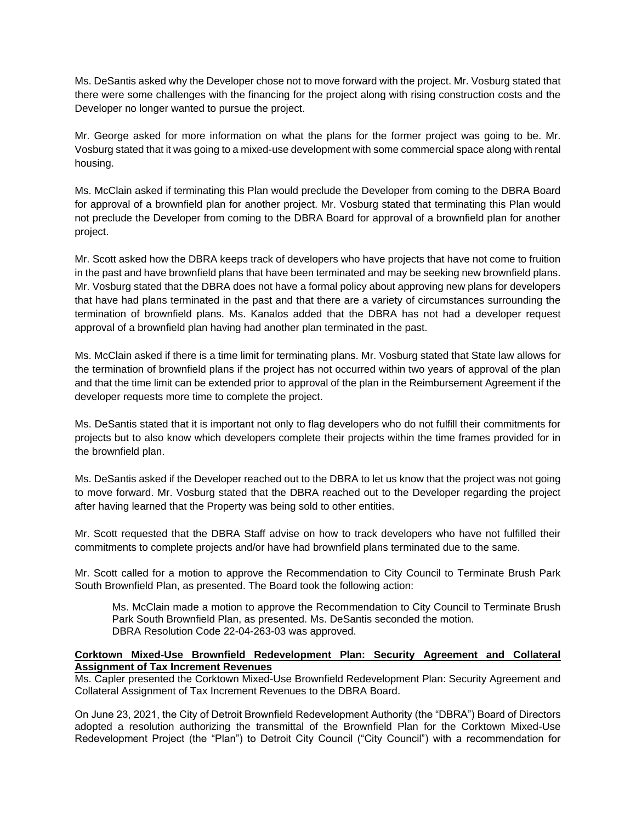Ms. DeSantis asked why the Developer chose not to move forward with the project. Mr. Vosburg stated that there were some challenges with the financing for the project along with rising construction costs and the Developer no longer wanted to pursue the project.

Mr. George asked for more information on what the plans for the former project was going to be. Mr. Vosburg stated that it was going to a mixed-use development with some commercial space along with rental housing.

Ms. McClain asked if terminating this Plan would preclude the Developer from coming to the DBRA Board for approval of a brownfield plan for another project. Mr. Vosburg stated that terminating this Plan would not preclude the Developer from coming to the DBRA Board for approval of a brownfield plan for another project.

Mr. Scott asked how the DBRA keeps track of developers who have projects that have not come to fruition in the past and have brownfield plans that have been terminated and may be seeking new brownfield plans. Mr. Vosburg stated that the DBRA does not have a formal policy about approving new plans for developers that have had plans terminated in the past and that there are a variety of circumstances surrounding the termination of brownfield plans. Ms. Kanalos added that the DBRA has not had a developer request approval of a brownfield plan having had another plan terminated in the past.

Ms. McClain asked if there is a time limit for terminating plans. Mr. Vosburg stated that State law allows for the termination of brownfield plans if the project has not occurred within two years of approval of the plan and that the time limit can be extended prior to approval of the plan in the Reimbursement Agreement if the developer requests more time to complete the project.

Ms. DeSantis stated that it is important not only to flag developers who do not fulfill their commitments for projects but to also know which developers complete their projects within the time frames provided for in the brownfield plan.

Ms. DeSantis asked if the Developer reached out to the DBRA to let us know that the project was not going to move forward. Mr. Vosburg stated that the DBRA reached out to the Developer regarding the project after having learned that the Property was being sold to other entities.

Mr. Scott requested that the DBRA Staff advise on how to track developers who have not fulfilled their commitments to complete projects and/or have had brownfield plans terminated due to the same.

Mr. Scott called for a motion to approve the Recommendation to City Council to Terminate Brush Park South Brownfield Plan, as presented. The Board took the following action:

Ms. McClain made a motion to approve the Recommendation to City Council to Terminate Brush Park South Brownfield Plan, as presented. Ms. DeSantis seconded the motion. DBRA Resolution Code 22-04-263-03 was approved.

# **Corktown Mixed-Use Brownfield Redevelopment Plan: Security Agreement and Collateral Assignment of Tax Increment Revenues**

Ms. Capler presented the Corktown Mixed-Use Brownfield Redevelopment Plan: Security Agreement and Collateral Assignment of Tax Increment Revenues to the DBRA Board.

On June 23, 2021, the City of Detroit Brownfield Redevelopment Authority (the "DBRA") Board of Directors adopted a resolution authorizing the transmittal of the Brownfield Plan for the Corktown Mixed-Use Redevelopment Project (the "Plan") to Detroit City Council ("City Council") with a recommendation for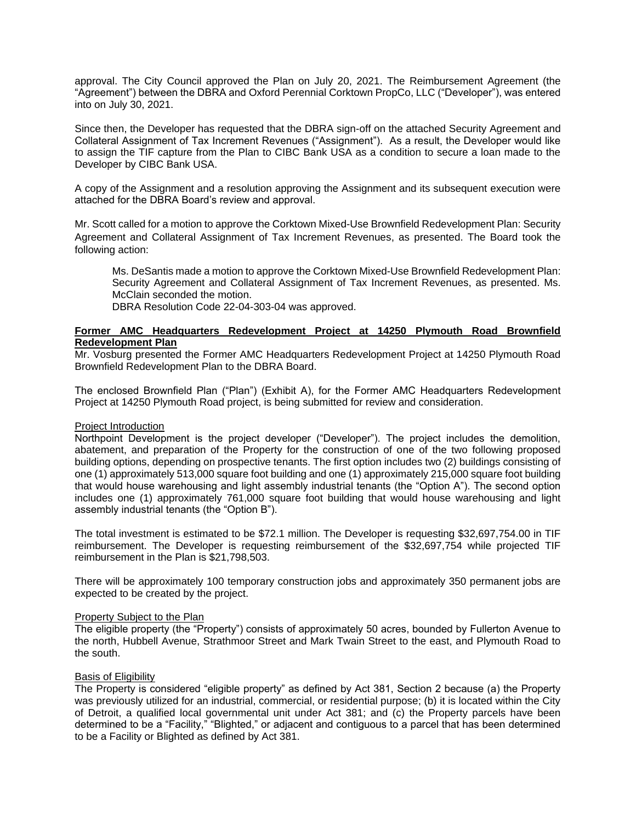approval. The City Council approved the Plan on July 20, 2021. The Reimbursement Agreement (the "Agreement") between the DBRA and Oxford Perennial Corktown PropCo, LLC ("Developer"), was entered into on July 30, 2021.

Since then, the Developer has requested that the DBRA sign-off on the attached Security Agreement and Collateral Assignment of Tax Increment Revenues ("Assignment"). As a result, the Developer would like to assign the TIF capture from the Plan to CIBC Bank USA as a condition to secure a loan made to the Developer by CIBC Bank USA.

A copy of the Assignment and a resolution approving the Assignment and its subsequent execution were attached for the DBRA Board's review and approval.

Mr. Scott called for a motion to approve the Corktown Mixed-Use Brownfield Redevelopment Plan: Security Agreement and Collateral Assignment of Tax Increment Revenues, as presented. The Board took the following action:

Ms. DeSantis made a motion to approve the Corktown Mixed-Use Brownfield Redevelopment Plan: Security Agreement and Collateral Assignment of Tax Increment Revenues, as presented. Ms. McClain seconded the motion.

DBRA Resolution Code 22-04-303-04 was approved.

# **Former AMC Headquarters Redevelopment Project at 14250 Plymouth Road Brownfield Redevelopment Plan**

Mr. Vosburg presented the Former AMC Headquarters Redevelopment Project at 14250 Plymouth Road Brownfield Redevelopment Plan to the DBRA Board.

The enclosed Brownfield Plan ("Plan") (Exhibit A), for the Former AMC Headquarters Redevelopment Project at 14250 Plymouth Road project, is being submitted for review and consideration.

# Project Introduction

Northpoint Development is the project developer ("Developer"). The project includes the demolition, abatement, and preparation of the Property for the construction of one of the two following proposed building options, depending on prospective tenants. The first option includes two (2) buildings consisting of one (1) approximately 513,000 square foot building and one (1) approximately 215,000 square foot building that would house warehousing and light assembly industrial tenants (the "Option A"). The second option includes one (1) approximately 761,000 square foot building that would house warehousing and light assembly industrial tenants (the "Option B").

The total investment is estimated to be \$72.1 million. The Developer is requesting \$32,697,754.00 in TIF reimbursement. The Developer is requesting reimbursement of the \$32,697,754 while projected TIF reimbursement in the Plan is \$21,798,503.

There will be approximately 100 temporary construction jobs and approximately 350 permanent jobs are expected to be created by the project.

# Property Subject to the Plan

The eligible property (the "Property") consists of approximately 50 acres, bounded by Fullerton Avenue to the north, Hubbell Avenue, Strathmoor Street and Mark Twain Street to the east, and Plymouth Road to the south.

# Basis of Eligibility

The Property is considered "eligible property" as defined by Act 381, Section 2 because (a) the Property was previously utilized for an industrial, commercial, or residential purpose; (b) it is located within the City of Detroit, a qualified local governmental unit under Act 381; and (c) the Property parcels have been determined to be a "Facility," "Blighted," or adjacent and contiguous to a parcel that has been determined to be a Facility or Blighted as defined by Act 381.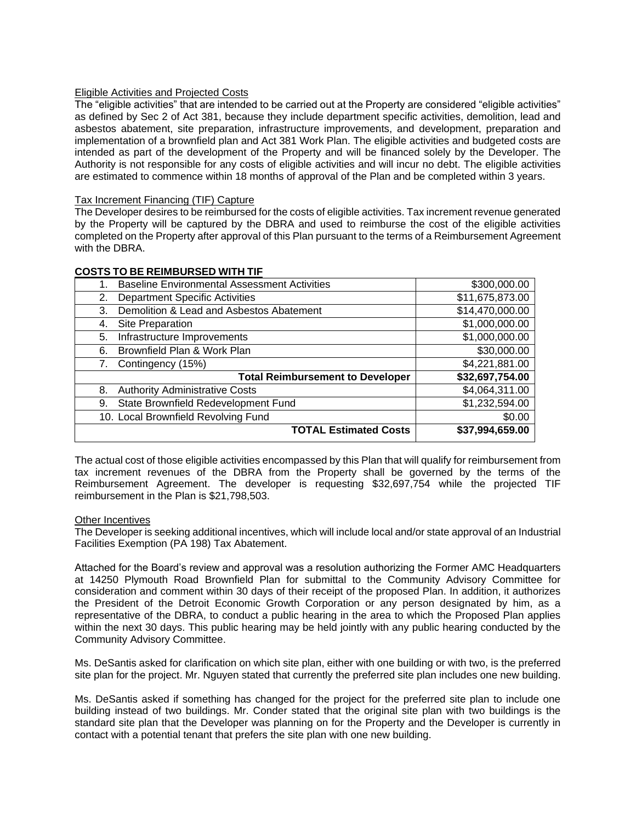# Eligible Activities and Projected Costs

The "eligible activities" that are intended to be carried out at the Property are considered "eligible activities" as defined by Sec 2 of Act 381, because they include department specific activities, demolition, lead and asbestos abatement, site preparation, infrastructure improvements, and development, preparation and implementation of a brownfield plan and Act 381 Work Plan. The eligible activities and budgeted costs are intended as part of the development of the Property and will be financed solely by the Developer. The Authority is not responsible for any costs of eligible activities and will incur no debt. The eligible activities are estimated to commence within 18 months of approval of the Plan and be completed within 3 years.

### Tax Increment Financing (TIF) Capture

The Developer desires to be reimbursed for the costs of eligible activities. Tax increment revenue generated by the Property will be captured by the DBRA and used to reimburse the cost of the eligible activities completed on the Property after approval of this Plan pursuant to the terms of a Reimbursement Agreement with the DBRA.

|  | <b>COSTS TO BE REIMBURSED WITH TIF</b> |  |
|--|----------------------------------------|--|
|  |                                        |  |

| <b>Baseline Environmental Assessment Activities</b> | \$300,000.00    |
|-----------------------------------------------------|-----------------|
| <b>Department Specific Activities</b><br>2.         | \$11,675,873.00 |
| Demolition & Lead and Asbestos Abatement<br>3.      | \$14,470,000.00 |
| Site Preparation<br>4.                              | \$1,000,000.00  |
| Infrastructure Improvements<br>5.                   | \$1,000,000.00  |
| Brownfield Plan & Work Plan<br>6.                   | \$30,000.00     |
| Contingency (15%)<br>7.                             | \$4,221,881.00  |
| <b>Total Reimbursement to Developer</b>             | \$32,697,754.00 |
| <b>Authority Administrative Costs</b><br>8.         | \$4,064,311.00  |
| State Brownfield Redevelopment Fund<br>9.           | \$1,232,594.00  |
| 10. Local Brownfield Revolving Fund                 | \$0.00          |
| <b>TOTAL Estimated Costs</b>                        | \$37,994,659.00 |

The actual cost of those eligible activities encompassed by this Plan that will qualify for reimbursement from tax increment revenues of the DBRA from the Property shall be governed by the terms of the Reimbursement Agreement. The developer is requesting \$32,697,754 while the projected TIF reimbursement in the Plan is \$21,798,503.

#### Other Incentives

The Developer is seeking additional incentives, which will include local and/or state approval of an Industrial Facilities Exemption (PA 198) Tax Abatement.

Attached for the Board's review and approval was a resolution authorizing the Former AMC Headquarters at 14250 Plymouth Road Brownfield Plan for submittal to the Community Advisory Committee for consideration and comment within 30 days of their receipt of the proposed Plan. In addition, it authorizes the President of the Detroit Economic Growth Corporation or any person designated by him, as a representative of the DBRA, to conduct a public hearing in the area to which the Proposed Plan applies within the next 30 days. This public hearing may be held jointly with any public hearing conducted by the Community Advisory Committee.

Ms. DeSantis asked for clarification on which site plan, either with one building or with two, is the preferred site plan for the project. Mr. Nguyen stated that currently the preferred site plan includes one new building.

Ms. DeSantis asked if something has changed for the project for the preferred site plan to include one building instead of two buildings. Mr. Conder stated that the original site plan with two buildings is the standard site plan that the Developer was planning on for the Property and the Developer is currently in contact with a potential tenant that prefers the site plan with one new building.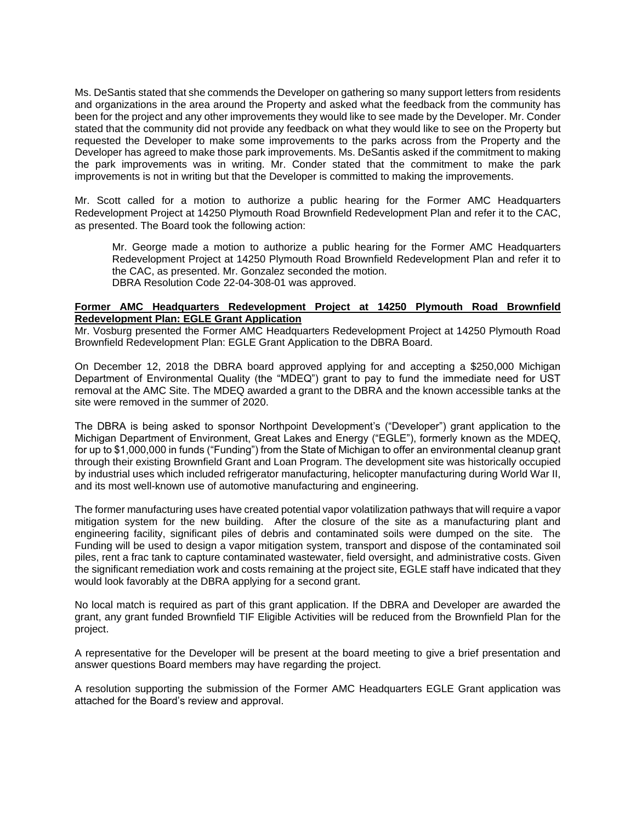Ms. DeSantis stated that she commends the Developer on gathering so many support letters from residents and organizations in the area around the Property and asked what the feedback from the community has been for the project and any other improvements they would like to see made by the Developer. Mr. Conder stated that the community did not provide any feedback on what they would like to see on the Property but requested the Developer to make some improvements to the parks across from the Property and the Developer has agreed to make those park improvements. Ms. DeSantis asked if the commitment to making the park improvements was in writing. Mr. Conder stated that the commitment to make the park improvements is not in writing but that the Developer is committed to making the improvements.

Mr. Scott called for a motion to authorize a public hearing for the Former AMC Headquarters Redevelopment Project at 14250 Plymouth Road Brownfield Redevelopment Plan and refer it to the CAC, as presented. The Board took the following action:

Mr. George made a motion to authorize a public hearing for the Former AMC Headquarters Redevelopment Project at 14250 Plymouth Road Brownfield Redevelopment Plan and refer it to the CAC, as presented. Mr. Gonzalez seconded the motion. DBRA Resolution Code 22-04-308-01 was approved.

# **Former AMC Headquarters Redevelopment Project at 14250 Plymouth Road Brownfield Redevelopment Plan: EGLE Grant Application**

Mr. Vosburg presented the Former AMC Headquarters Redevelopment Project at 14250 Plymouth Road Brownfield Redevelopment Plan: EGLE Grant Application to the DBRA Board.

On December 12, 2018 the DBRA board approved applying for and accepting a \$250,000 Michigan Department of Environmental Quality (the "MDEQ") grant to pay to fund the immediate need for UST removal at the AMC Site. The MDEQ awarded a grant to the DBRA and the known accessible tanks at the site were removed in the summer of 2020.

The DBRA is being asked to sponsor Northpoint Development's ("Developer") grant application to the Michigan Department of Environment, Great Lakes and Energy ("EGLE"), formerly known as the MDEQ, for up to \$1,000,000 in funds ("Funding") from the State of Michigan to offer an environmental cleanup grant through their existing Brownfield Grant and Loan Program. The development site was historically occupied by industrial uses which included refrigerator manufacturing, helicopter manufacturing during World War II, and its most well-known use of automotive manufacturing and engineering.

The former manufacturing uses have created potential vapor volatilization pathways that will require a vapor mitigation system for the new building. After the closure of the site as a manufacturing plant and engineering facility, significant piles of debris and contaminated soils were dumped on the site. The Funding will be used to design a vapor mitigation system, transport and dispose of the contaminated soil piles, rent a frac tank to capture contaminated wastewater, field oversight, and administrative costs. Given the significant remediation work and costs remaining at the project site, EGLE staff have indicated that they would look favorably at the DBRA applying for a second grant.

No local match is required as part of this grant application. If the DBRA and Developer are awarded the grant, any grant funded Brownfield TIF Eligible Activities will be reduced from the Brownfield Plan for the project.

A representative for the Developer will be present at the board meeting to give a brief presentation and answer questions Board members may have regarding the project.

A resolution supporting the submission of the Former AMC Headquarters EGLE Grant application was attached for the Board's review and approval.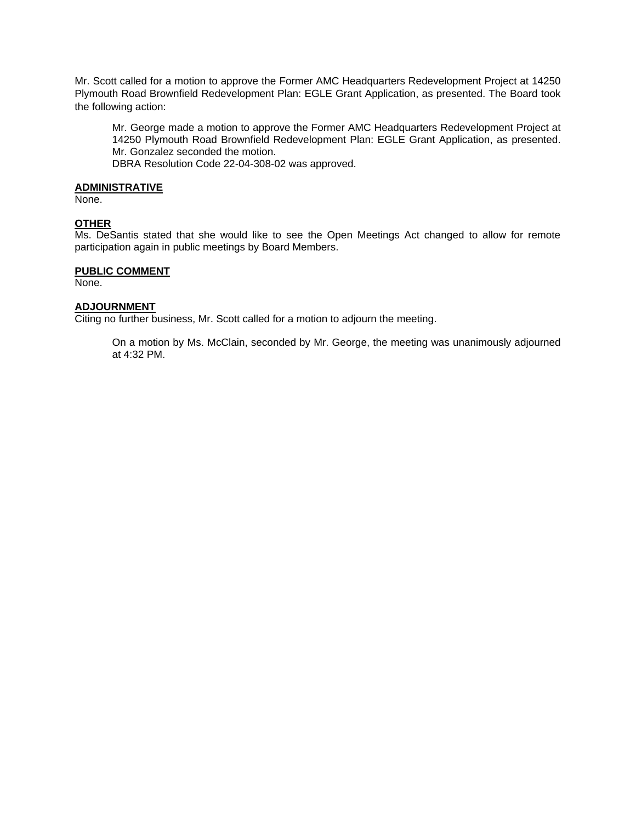Mr. Scott called for a motion to approve the Former AMC Headquarters Redevelopment Project at 14250 Plymouth Road Brownfield Redevelopment Plan: EGLE Grant Application, as presented. The Board took the following action:

Mr. George made a motion to approve the Former AMC Headquarters Redevelopment Project at 14250 Plymouth Road Brownfield Redevelopment Plan: EGLE Grant Application, as presented. Mr. Gonzalez seconded the motion.

DBRA Resolution Code 22-04-308-02 was approved.

# **ADMINISTRATIVE**

None.

# **OTHER**

Ms. DeSantis stated that she would like to see the Open Meetings Act changed to allow for remote participation again in public meetings by Board Members.

### **PUBLIC COMMENT**

None.

# **ADJOURNMENT**

Citing no further business, Mr. Scott called for a motion to adjourn the meeting.

On a motion by Ms. McClain, seconded by Mr. George, the meeting was unanimously adjourned at 4:32 PM.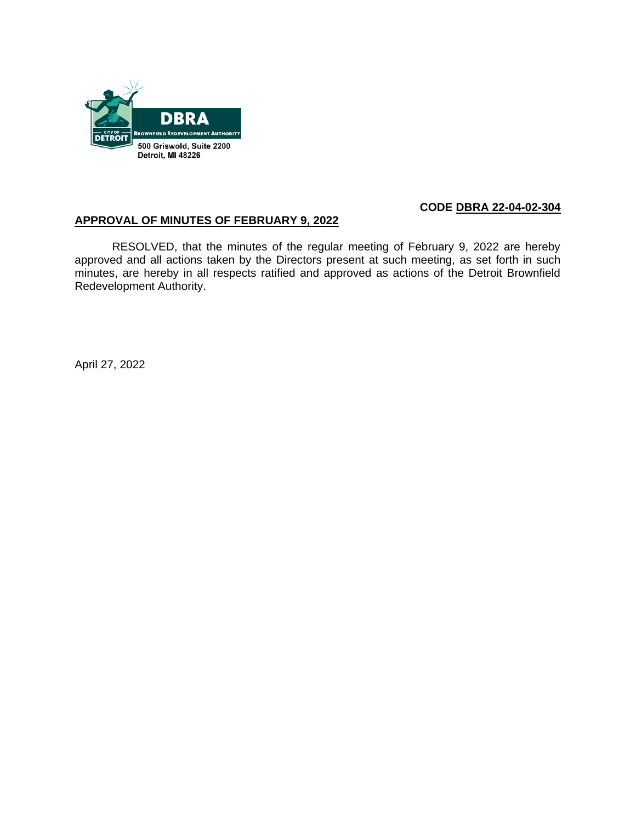

# **CODE DBRA 22-04-02-304**

# **APPROVAL OF MINUTES OF FEBRUARY 9, 2022**

RESOLVED, that the minutes of the regular meeting of February 9, 2022 are hereby approved and all actions taken by the Directors present at such meeting, as set forth in such minutes, are hereby in all respects ratified and approved as actions of the Detroit Brownfield Redevelopment Authority.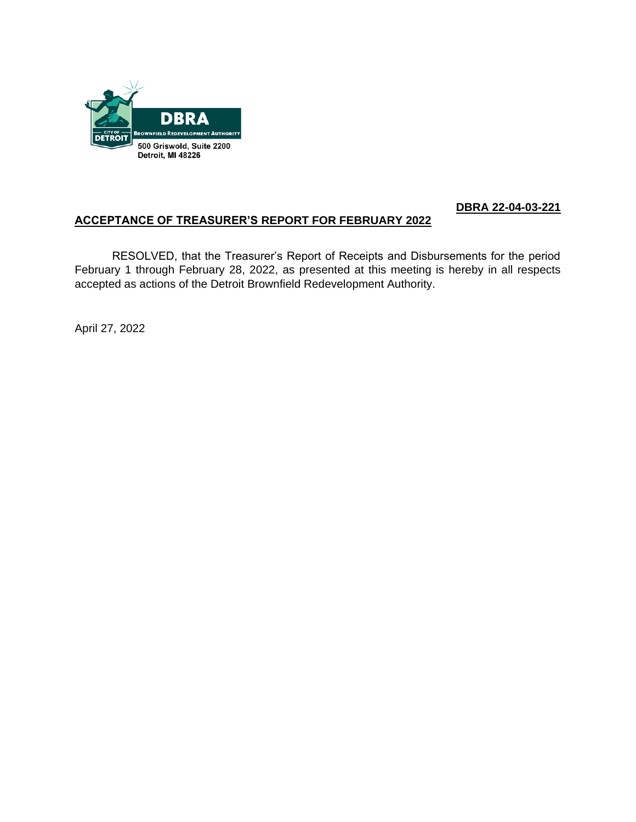

# **DBRA 22-04-03-221**

# **ACCEPTANCE OF TREASURER'S REPORT FOR FEBRUARY 2022**

RESOLVED, that the Treasurer's Report of Receipts and Disbursements for the period February 1 through February 28, 2022, as presented at this meeting is hereby in all respects accepted as actions of the Detroit Brownfield Redevelopment Authority.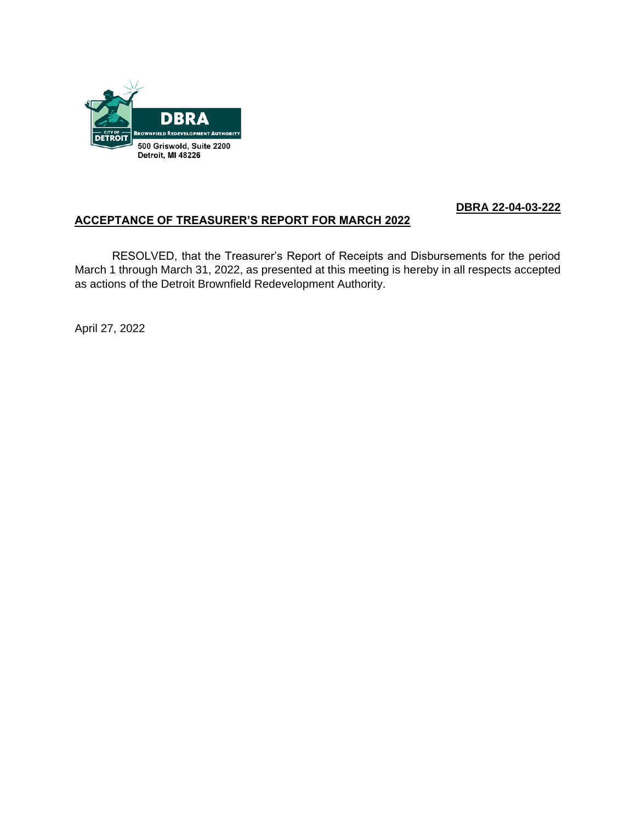

# **DBRA 22-04-03-222**

# **ACCEPTANCE OF TREASURER'S REPORT FOR MARCH 2022**

RESOLVED, that the Treasurer's Report of Receipts and Disbursements for the period March 1 through March 31, 2022, as presented at this meeting is hereby in all respects accepted as actions of the Detroit Brownfield Redevelopment Authority.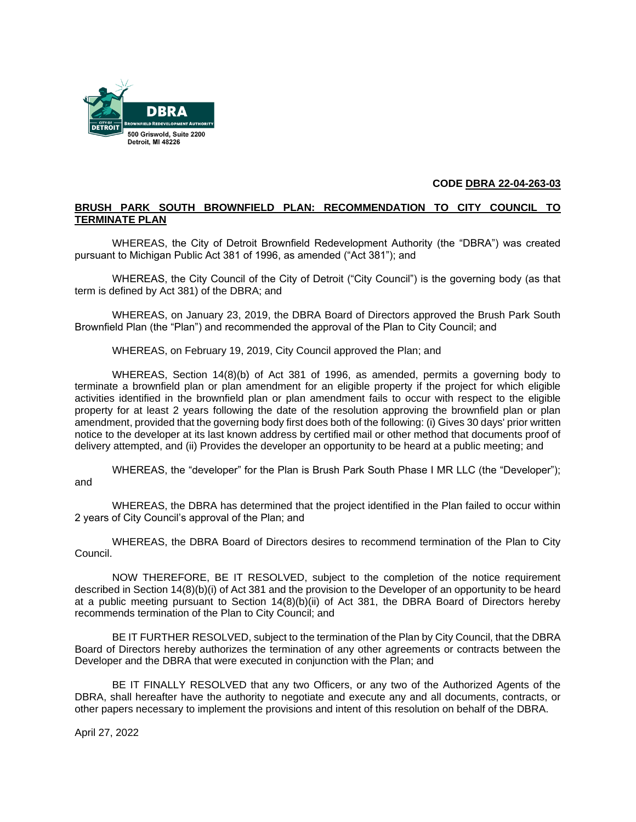

#### **CODE DBRA 22-04-263-03**

# **BRUSH PARK SOUTH BROWNFIELD PLAN: RECOMMENDATION TO CITY COUNCIL TO TERMINATE PLAN**

WHEREAS, the City of Detroit Brownfield Redevelopment Authority (the "DBRA") was created pursuant to Michigan Public Act 381 of 1996, as amended ("Act 381"); and

WHEREAS, the City Council of the City of Detroit ("City Council") is the governing body (as that term is defined by Act 381) of the DBRA; and

WHEREAS, on January 23, 2019, the DBRA Board of Directors approved the Brush Park South Brownfield Plan (the "Plan") and recommended the approval of the Plan to City Council; and

WHEREAS, on February 19, 2019, City Council approved the Plan; and

WHEREAS, Section 14(8)(b) of Act 381 of 1996, as amended, permits a governing body to terminate a brownfield plan or plan amendment for an eligible property if the project for which eligible activities identified in the brownfield plan or plan amendment fails to occur with respect to the eligible property for at least 2 years following the date of the resolution approving the brownfield plan or plan amendment, provided that the governing body first does both of the following: (i) Gives 30 days' prior written notice to the developer at its last known address by certified mail or other method that documents proof of delivery attempted, and (ii) Provides the developer an opportunity to be heard at a public meeting; and

WHEREAS, the "developer" for the Plan is Brush Park South Phase I MR LLC (the "Developer"); and

WHEREAS, the DBRA has determined that the project identified in the Plan failed to occur within 2 years of City Council's approval of the Plan; and

WHEREAS, the DBRA Board of Directors desires to recommend termination of the Plan to City Council.

NOW THEREFORE, BE IT RESOLVED, subject to the completion of the notice requirement described in Section 14(8)(b)(i) of Act 381 and the provision to the Developer of an opportunity to be heard at a public meeting pursuant to Section 14(8)(b)(ii) of Act 381, the DBRA Board of Directors hereby recommends termination of the Plan to City Council; and

BE IT FURTHER RESOLVED, subject to the termination of the Plan by City Council, that the DBRA Board of Directors hereby authorizes the termination of any other agreements or contracts between the Developer and the DBRA that were executed in conjunction with the Plan; and

BE IT FINALLY RESOLVED that any two Officers, or any two of the Authorized Agents of the DBRA, shall hereafter have the authority to negotiate and execute any and all documents, contracts, or other papers necessary to implement the provisions and intent of this resolution on behalf of the DBRA.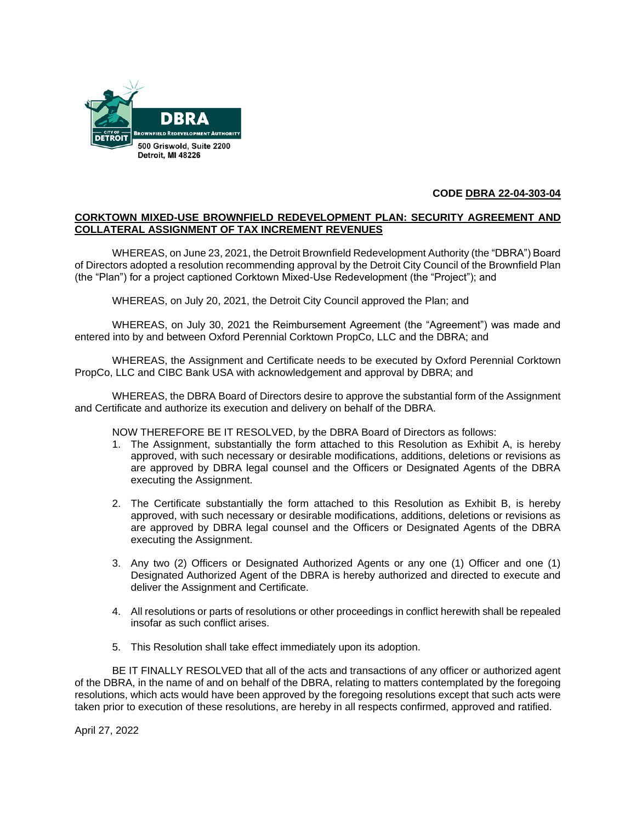

# **CODE DBRA 22-04-303-04**

# **CORKTOWN MIXED-USE BROWNFIELD REDEVELOPMENT PLAN: SECURITY AGREEMENT AND COLLATERAL ASSIGNMENT OF TAX INCREMENT REVENUES**

WHEREAS, on June 23, 2021, the Detroit Brownfield Redevelopment Authority (the "DBRA") Board of Directors adopted a resolution recommending approval by the Detroit City Council of the Brownfield Plan (the "Plan") for a project captioned Corktown Mixed-Use Redevelopment (the "Project"); and

WHEREAS, on July 20, 2021, the Detroit City Council approved the Plan; and

WHEREAS, on July 30, 2021 the Reimbursement Agreement (the "Agreement") was made and entered into by and between Oxford Perennial Corktown PropCo, LLC and the DBRA; and

WHEREAS, the Assignment and Certificate needs to be executed by Oxford Perennial Corktown PropCo, LLC and CIBC Bank USA with acknowledgement and approval by DBRA; and

WHEREAS, the DBRA Board of Directors desire to approve the substantial form of the Assignment and Certificate and authorize its execution and delivery on behalf of the DBRA.

NOW THEREFORE BE IT RESOLVED, by the DBRA Board of Directors as follows:

- 1. The Assignment, substantially the form attached to this Resolution as Exhibit A, is hereby approved, with such necessary or desirable modifications, additions, deletions or revisions as are approved by DBRA legal counsel and the Officers or Designated Agents of the DBRA executing the Assignment.
- 2. The Certificate substantially the form attached to this Resolution as Exhibit B, is hereby approved, with such necessary or desirable modifications, additions, deletions or revisions as are approved by DBRA legal counsel and the Officers or Designated Agents of the DBRA executing the Assignment.
- 3. Any two (2) Officers or Designated Authorized Agents or any one (1) Officer and one (1) Designated Authorized Agent of the DBRA is hereby authorized and directed to execute and deliver the Assignment and Certificate.
- 4. All resolutions or parts of resolutions or other proceedings in conflict herewith shall be repealed insofar as such conflict arises.
- 5. This Resolution shall take effect immediately upon its adoption.

BE IT FINALLY RESOLVED that all of the acts and transactions of any officer or authorized agent of the DBRA, in the name of and on behalf of the DBRA, relating to matters contemplated by the foregoing resolutions, which acts would have been approved by the foregoing resolutions except that such acts were taken prior to execution of these resolutions, are hereby in all respects confirmed, approved and ratified.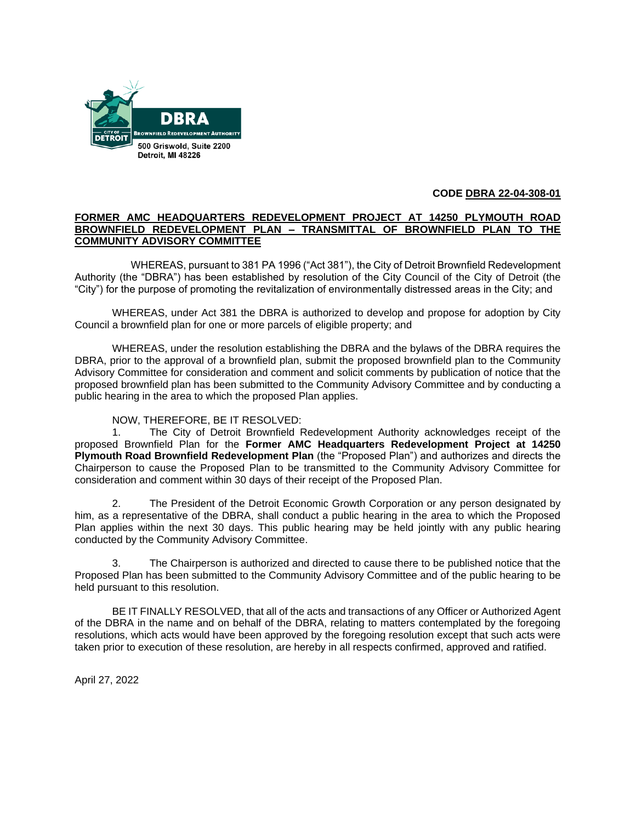

# **CODE DBRA 22-04-308-01**

# **FORMER AMC HEADQUARTERS REDEVELOPMENT PROJECT AT 14250 PLYMOUTH ROAD BROWNFIELD REDEVELOPMENT PLAN – TRANSMITTAL OF BROWNFIELD PLAN TO THE COMMUNITY ADVISORY COMMITTEE**

WHEREAS, pursuant to 381 PA 1996 ("Act 381"), the City of Detroit Brownfield Redevelopment Authority (the "DBRA") has been established by resolution of the City Council of the City of Detroit (the "City") for the purpose of promoting the revitalization of environmentally distressed areas in the City; and

WHEREAS, under Act 381 the DBRA is authorized to develop and propose for adoption by City Council a brownfield plan for one or more parcels of eligible property; and

WHEREAS, under the resolution establishing the DBRA and the bylaws of the DBRA requires the DBRA, prior to the approval of a brownfield plan, submit the proposed brownfield plan to the Community Advisory Committee for consideration and comment and solicit comments by publication of notice that the proposed brownfield plan has been submitted to the Community Advisory Committee and by conducting a public hearing in the area to which the proposed Plan applies.

# NOW, THEREFORE, BE IT RESOLVED:

1. The City of Detroit Brownfield Redevelopment Authority acknowledges receipt of the proposed Brownfield Plan for the **Former AMC Headquarters Redevelopment Project at 14250 Plymouth Road Brownfield Redevelopment Plan** (the "Proposed Plan") and authorizes and directs the Chairperson to cause the Proposed Plan to be transmitted to the Community Advisory Committee for consideration and comment within 30 days of their receipt of the Proposed Plan.

2. The President of the Detroit Economic Growth Corporation or any person designated by him, as a representative of the DBRA, shall conduct a public hearing in the area to which the Proposed Plan applies within the next 30 days. This public hearing may be held jointly with any public hearing conducted by the Community Advisory Committee.

3. The Chairperson is authorized and directed to cause there to be published notice that the Proposed Plan has been submitted to the Community Advisory Committee and of the public hearing to be held pursuant to this resolution.

BE IT FINALLY RESOLVED, that all of the acts and transactions of any Officer or Authorized Agent of the DBRA in the name and on behalf of the DBRA, relating to matters contemplated by the foregoing resolutions, which acts would have been approved by the foregoing resolution except that such acts were taken prior to execution of these resolution, are hereby in all respects confirmed, approved and ratified.